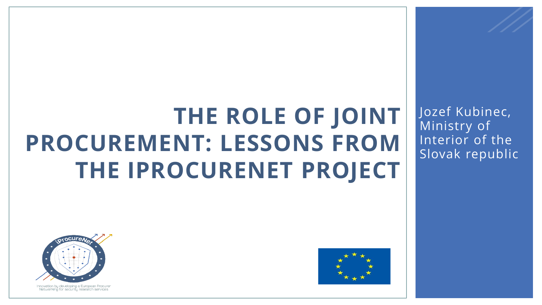### **THE ROLE OF JOINT PROCUREMENT: LESSONS FROM THE IPROCURENET PROJECT**





Innovation by developing a European Procurer Networking for security research services

Jozef Kubinec, Ministry of Interior of the Slovak republic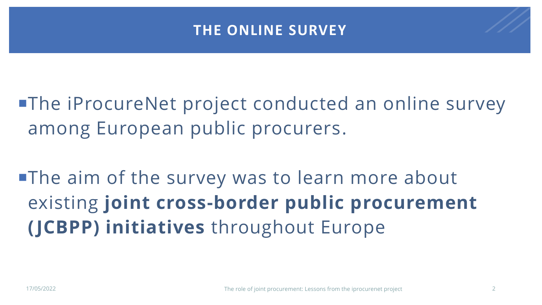#### **THE ONLINE SURVEY**

**The iProcureNet project conducted an online survey** among European public procurers.

**The aim of the survey was to learn more about** existing **joint cross-border public procurement ( JCBPP) initiatives** throughout Europe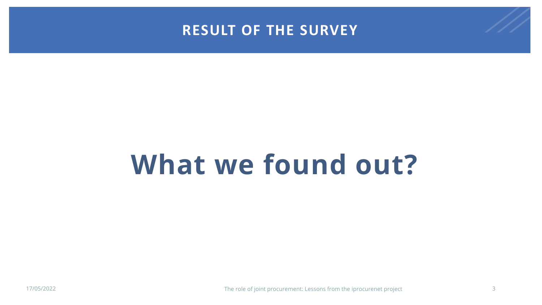#### **RESULT OF THE SURVEY**

### **What we found out?**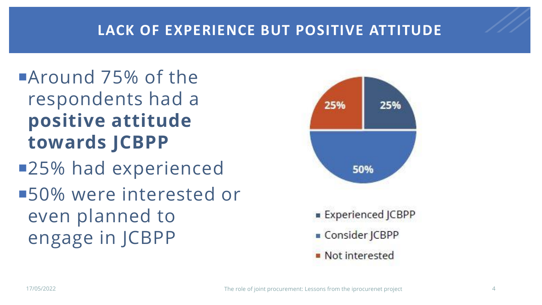#### **LACK OF EXPERIENCE BUT POSITIVE ATTITUDE**

### Around 75% of the respondents had a **positive attitude towards JCBPP** ■25% had experienced

■50% were interested or even planned to engage in JCBPP

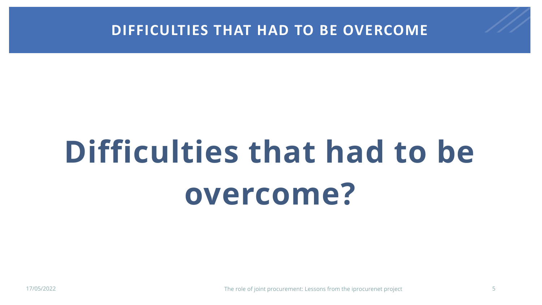

# **Difficulties that had to be overcome?**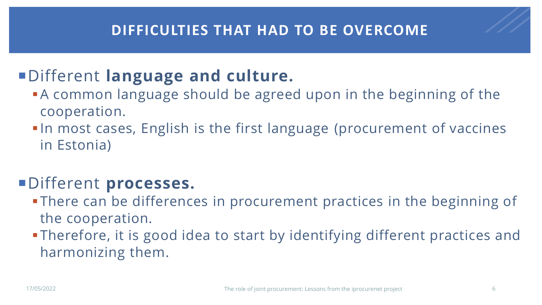#### **DIFFICULTIES THAT HAD TO BE OVERCOME**

#### Different **language and culture.**

- **A common language should be agreed upon in the beginning of the** cooperation.
- In most cases, English is the first language (procurement of vaccines in Estonia)

#### Different **processes.**

- **. There can be differences in procurement practices in the beginning of** the cooperation.
- **Therefore, it is good idea to start by identifying different practices and** harmonizing them.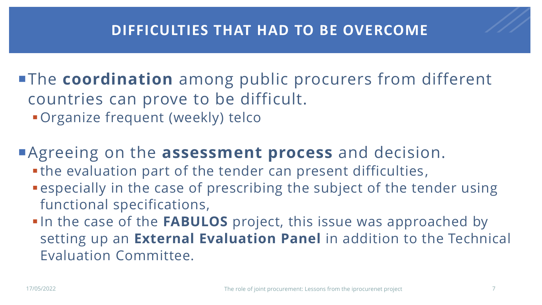#### **DIFFICULTIES THAT HAD TO BE OVERCOME**

**The coordination** among public procurers from different countries can prove to be difficult.

**• Organize frequent (weekly) telco** 

Agreeing on the **assessment process** and decision.

- . the evaluation part of the tender can present difficulties,
- **Example 2** especially in the case of prescribing the subject of the tender using functional specifications,
- **. In the case of the FABULOS** project, this issue was approached by setting up an **External Evaluation Panel** in addition to the Technical Evaluation Committee.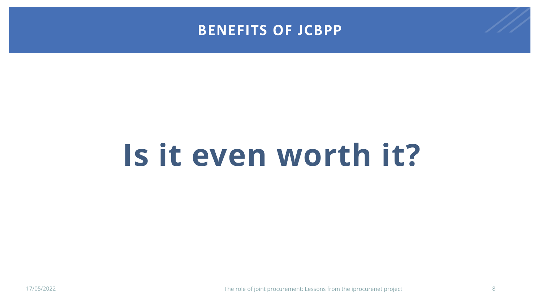

## **Is it even worth it?**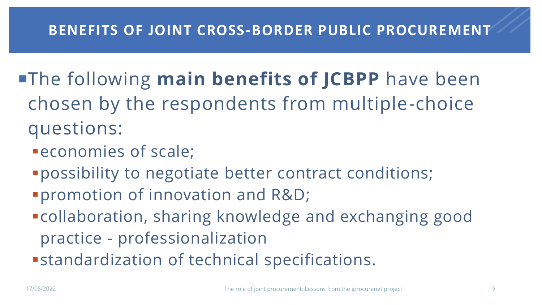#### **BENEFITS OF JOINT CROSS-BORDER PUBLIC PROCUREMENT**

- **The following main benefits of JCBPP** have been chosen by the respondents from multiple-choice questions:
	- **PECONOMIES of scale;**
	- ▪possibility to negotiate better contract conditions;
	- ▪promotion of innovation and R&D;
	- ▪collaboration, sharing knowledge and exchanging good practice - professionalization
	- **Example relation of technical specifications.**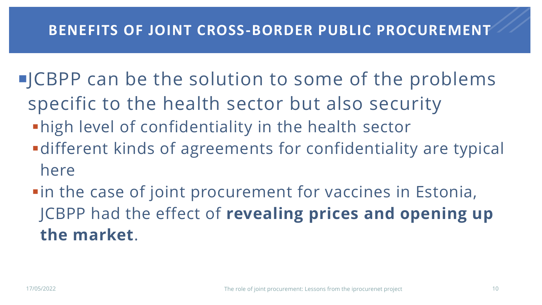#### **BENEFITS OF JOINT CROSS-BORDER PUBLIC PROCUREMENT**

- **JCBPP** can be the solution to some of the problems
	- specific to the health sector but also security
	- **.** high level of confidentiality in the health sector
	- **-different kinds of agreements for confidentiality are typical** here
	- **...** in the case of joint procurement for vaccines in Estonia, JCBPP had the effect of **revealing prices and opening up the market**.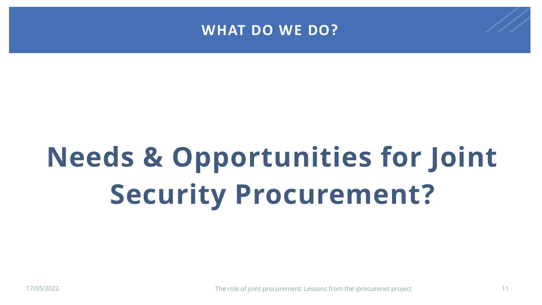

## **Needs & Opportunities for Joint Security Procurement?**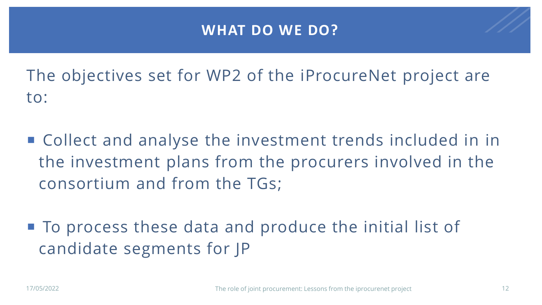#### **WHAT DO WE DO?**

The objectives set for WP2 of the iProcureNet project are to:

- Collect and analyse the investment trends included in in the investment plans from the procurers involved in the consortium and from the TGs;
- To process these data and produce the initial list of candidate segments for JP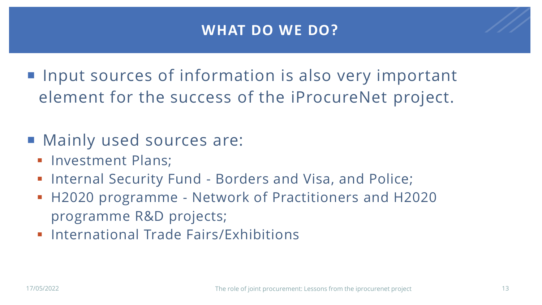#### **WHAT DO WE DO?**

**If input sources of information is also very important** element for the success of the iProcureNet project.

- Mainly used sources are:
	- **· Investment Plans;**
	- **.** Internal Security Fund Borders and Visa, and Police;
	- H2020 programme Network of Practitioners and H2020 programme R&D projects;
	- **International Trade Fairs/Exhibitions**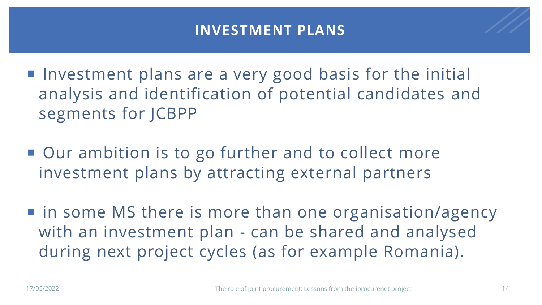#### **INVESTMENT PLANS**

■ Investment plans are a very good basis for the initial analysis and identification of potential candidates and segments for JCBPP

■ Our ambition is to go further and to collect more investment plans by attracting external partners

■ in some MS there is more than one organisation/agency with an investment plan - can be shared and analysed during next project cycles (as for example Romania).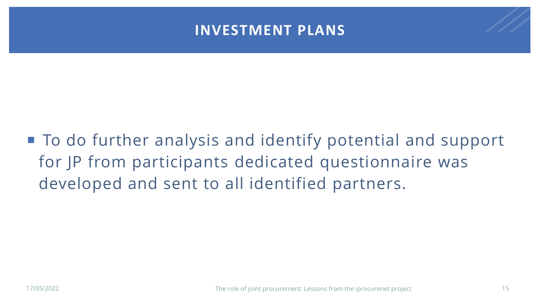#### **INVESTMENT PLANS**

■ To do further analysis and identify potential and support for JP from participants dedicated questionnaire was developed and sent to all identified partners.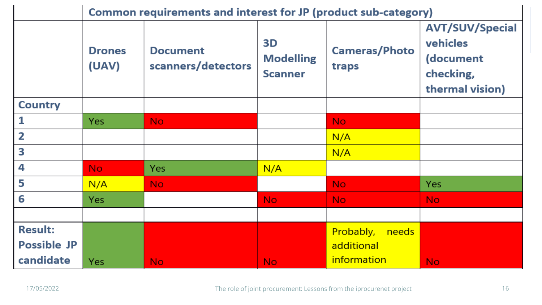|                    | Common requirements and interest for JP (product sub-category) |                                       |                                          |                               |                                                                                 |
|--------------------|----------------------------------------------------------------|---------------------------------------|------------------------------------------|-------------------------------|---------------------------------------------------------------------------------|
|                    | <b>Drones</b><br>(UAV)                                         | <b>Document</b><br>scanners/detectors | 3D<br><b>Modelling</b><br><b>Scanner</b> | <b>Cameras/Photo</b><br>traps | <b>AVT/SUV/Special</b><br>vehicles<br>(document<br>checking,<br>thermal vision) |
| <b>Country</b>     |                                                                |                                       |                                          |                               |                                                                                 |
|                    | Yes                                                            | No.                                   |                                          | No.                           |                                                                                 |
| 2                  |                                                                |                                       |                                          | N/A                           |                                                                                 |
| 3                  |                                                                |                                       |                                          | N/A                           |                                                                                 |
| 4                  | No.                                                            | <b>Yes</b>                            | N/A                                      |                               |                                                                                 |
| 5                  | N/A                                                            | No.                                   |                                          | No.                           | Yes                                                                             |
| 6                  | <b>Yes</b>                                                     |                                       | No.                                      | No.                           | No.                                                                             |
|                    |                                                                |                                       |                                          |                               |                                                                                 |
| <b>Result:</b>     |                                                                |                                       |                                          | Probably,<br>needs            |                                                                                 |
| <b>Possible JP</b> |                                                                |                                       |                                          | additional                    |                                                                                 |
| candidate          | Yes                                                            | No.                                   | No.                                      | <i>information</i>            | No.                                                                             |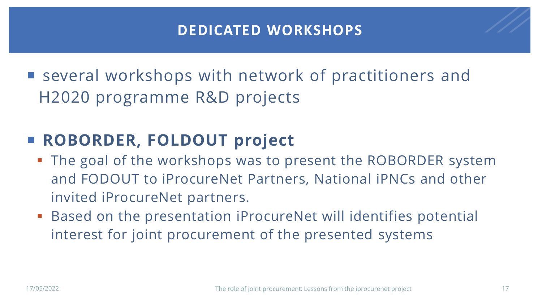#### **DEDICATED WORKSHOPS**

■ several workshops with network of practitioners and H2020 programme R&D projects

#### **ROBORDER, FOLDOUT project**

- The goal of the workshops was to present the ROBORDER system and FODOUT to iProcureNet Partners, National iPNCs and other invited iProcureNet partners.
- Based on the presentation iProcureNet will identifies potential interest for joint procurement of the presented systems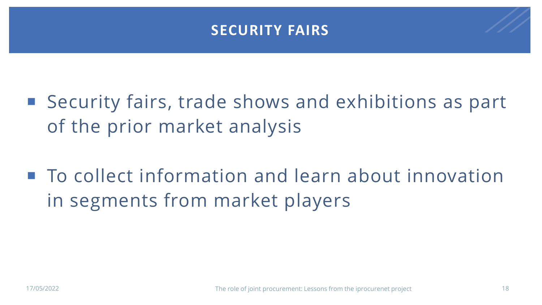#### **SECURITY FAIRS**

- Security fairs, trade shows and exhibitions as part of the prior market analysis
- To collect information and learn about innovation in segments from market players